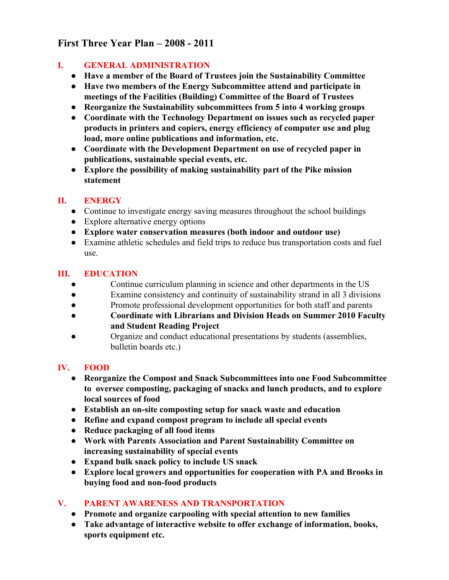# **First Three Year Plan – 2008 2011**

### **I. GENERAL ADMINISTRATION**

- **● Have a member of the Board of Trustees join the Sustainability Committee**
- **● Have two members of the Energy Subcommittee attend and participate in meetings of the Facilities (Building) Committee of the Board of Trustees**
- **● Reorganize the Sustainability subcommittees from 5 into 4 working groups**
- **● Coordinate with the Technology Department on issues such as recycled paper products in printers and copiers, energy efficiency of computer use and plug load, more online publications and information, etc.**
- **● Coordinate with the Development Department on use of recycled paper in publications, sustainable special events, etc.**
- **● Explore the possibility of making sustainability part of the Pike mission statement**

### **II. ENERGY**

- Continue to investigate energy saving measures throughout the school buildings
- Explore alternative energy options
- **● Explore water conservation measures (both indoor and outdoor use)**
- Examine athletic schedules and field trips to reduce bus transportation costs and fuel use.

### **III. EDUCATION**

- Continue curriculum planning in science and other departments in the US
- Examine consistency and continuity of sustainability strand in all 3 divisions
- Promote professional development opportunities for both staff and parents
- **● Coordinate with Librarians and Division Heads on Summer 2010 Faculty and Student Reading Project**
- Organize and conduct educational presentations by students (assemblies, bulletin boards etc.)

## **IV. FOOD**

- **● Reorganize the Compost and Snack Subcommittees into one Food Subcommittee to oversee composting, packaging of snacks and lunch products, and to explore local sources of food**
- **● Establish an onsite composting setup for snack waste and education**
- **● Refine and expand compost program to include all special events**
- **● Reduce packaging of all food items**
- **● Work with Parents Association and Parent Sustainability Committee on increasing sustainability of special events**
- **● Expand bulk snack policy to include US snack**
- **● Explore local growers and opportunities for cooperation with PA and Brooks in buying food** and **non-food products**

## **V. PARENTAWARENESS AND TRANSPORTATION**

- **● Promote and organize carpooling with special attention to new families**
- **● Take advantage of interactive website to offer exchange of information, books, sports equipment etc.**